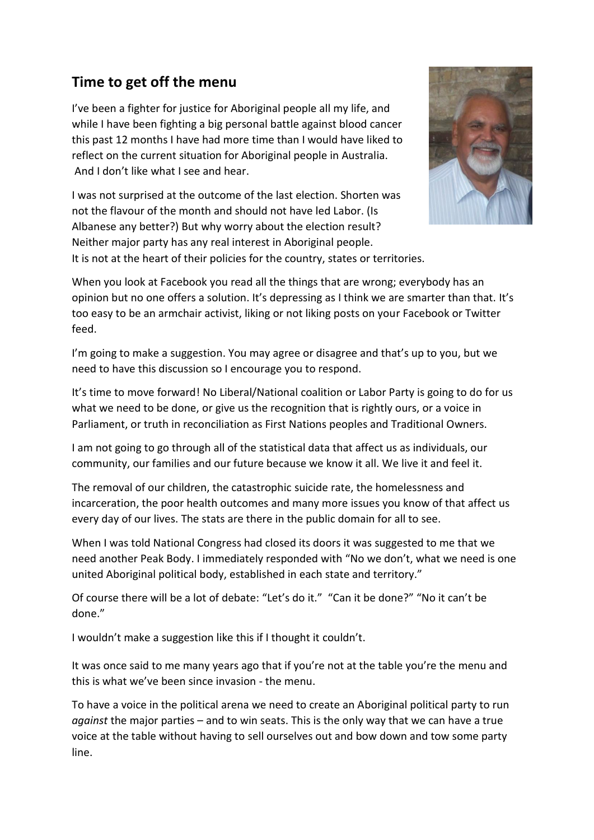## **Time to get off the menu**

I've been a fighter for justice for Aboriginal people all my life, and while I have been fighting a big personal battle against blood cancer this past 12 months I have had more time than I would have liked to reflect on the current situation for Aboriginal people in Australia. And I don't like what I see and hear.

I was not surprised at the outcome of the last election. Shorten was not the flavour of the month and should not have led Labor. (Is Albanese any better?) But why worry about the election result? Neither major party has any real interest in Aboriginal people. It is not at the heart of their policies for the country, states or territories.



When you look at Facebook you read all the things that are wrong; everybody has an opinion but no one offers a solution. It's depressing as I think we are smarter than that. It's too easy to be an armchair activist, liking or not liking posts on your Facebook or Twitter feed.

I'm going to make a suggestion. You may agree or disagree and that's up to you, but we need to have this discussion so I encourage you to respond.

It's time to move forward! No Liberal/National coalition or Labor Party is going to do for us what we need to be done, or give us the recognition that is rightly ours, or a voice in Parliament, or truth in reconciliation as First Nations peoples and Traditional Owners.

I am not going to go through all of the statistical data that affect us as individuals, our community, our families and our future because we know it all. We live it and feel it.

The removal of our children, the catastrophic suicide rate, the homelessness and incarceration, the poor health outcomes and many more issues you know of that affect us every day of our lives. The stats are there in the public domain for all to see.

When I was told National Congress had closed its doors it was suggested to me that we need another Peak Body. I immediately responded with "No we don't, what we need is one united Aboriginal political body, established in each state and territory."

Of course there will be a lot of debate: "Let's do it." "Can it be done?" "No it can't be done."

I wouldn't make a suggestion like this if I thought it couldn't.

It was once said to me many years ago that if you're not at the table you're the menu and this is what we've been since invasion - the menu.

To have a voice in the political arena we need to create an Aboriginal political party to run *against* the major parties – and to win seats. This is the only way that we can have a true voice at the table without having to sell ourselves out and bow down and tow some party line.